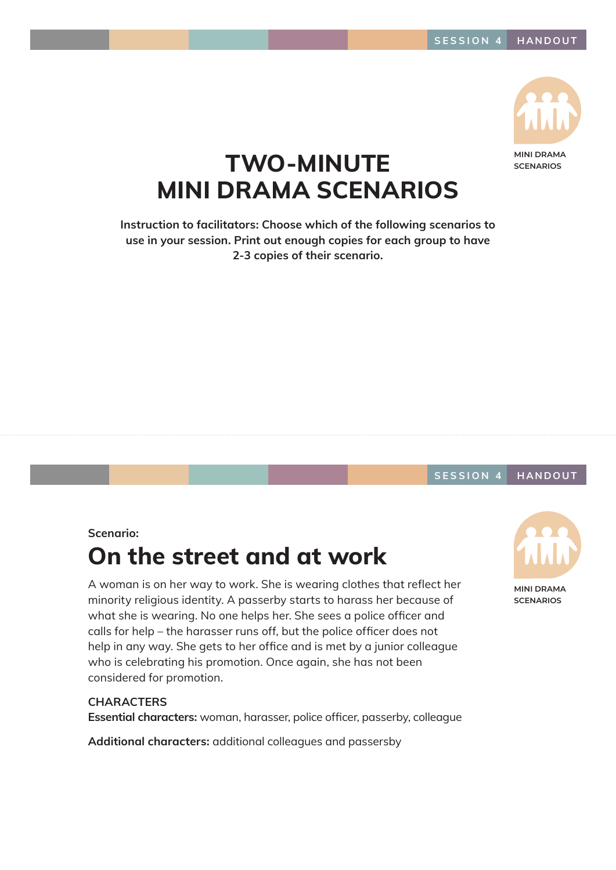

**SCENARIOS**

## TWO-MINUTE MINI DRAMA SCENARIOS

Instruction to facilitators: Choose which of the following scenarios to use in your session. Print out enough copies for each group to have 2-3 copies of their scenario.

#### SESSION 4 HANDOUT

#### Scenario:

## On the street and at work

A woman is on her way to work. She is wearing clothes that reflect her minority religious identity. A passerby starts to harass her because of what she is wearing. No one helps her. She sees a police officer and calls for help – the harasser runs off, but the police officer does not help in any way. She gets to her office and is met by a junior colleague who is celebrating his promotion. Once again, she has not been considered for promotion.

#### **CHARACTERS**

Essential characters: woman, harasser, police officer, passerby, colleague

Additional characters: additional colleagues and passersby



**MINI DRAMA SCENARIOS**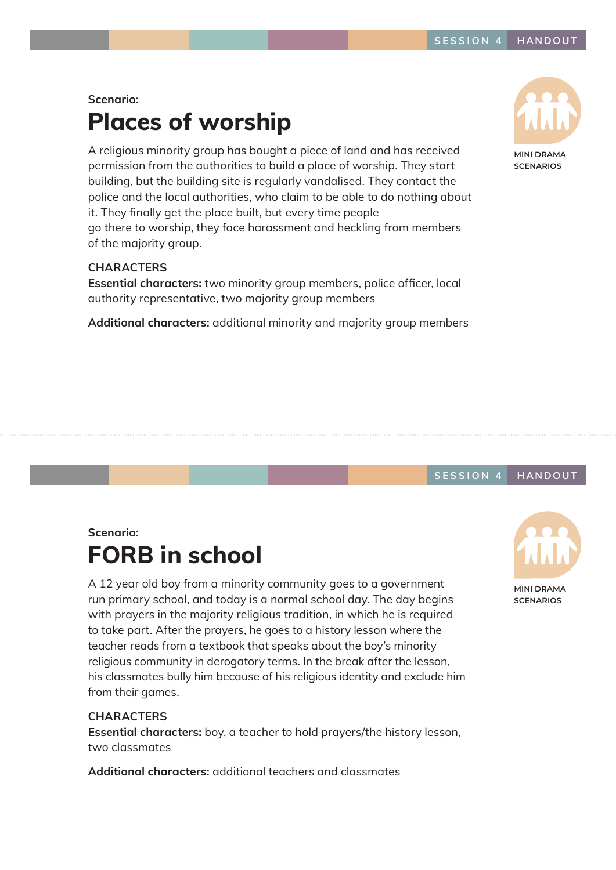### Scenario: Places of worship

A religious minority group has bought a piece of land and has received permission from the authorities to build a place of worship. They start building, but the building site is regularly vandalised. They contact the police and the local authorities, who claim to be able to do nothing about it. They finally get the place built, but every time people go there to worship, they face harassment and heckling from members of the majority group.

#### **CHARACTERS**

Essential characters: two minority group members, police officer, local authority representative, two majority group members

Additional characters: additional minority and majority group members



**SCENARIOS**

#### SESSION 4 HANDOUT

#### Scenario:

# FORB in school

A 12 year old boy from a minority community goes to a government run primary school, and today is a normal school day. The day begins with prayers in the majority religious tradition, in which he is required to take part. After the prayers, he goes to a history lesson where the teacher reads from a textbook that speaks about the boy's minority religious community in derogatory terms. In the break after the lesson, his classmates bully him because of his religious identity and exclude him from their games.

#### **CHARACTERS**

Essential characters: boy, a teacher to hold prayers/the history lesson, two classmates

Additional characters: additional teachers and classmates



**SCENARIOS**